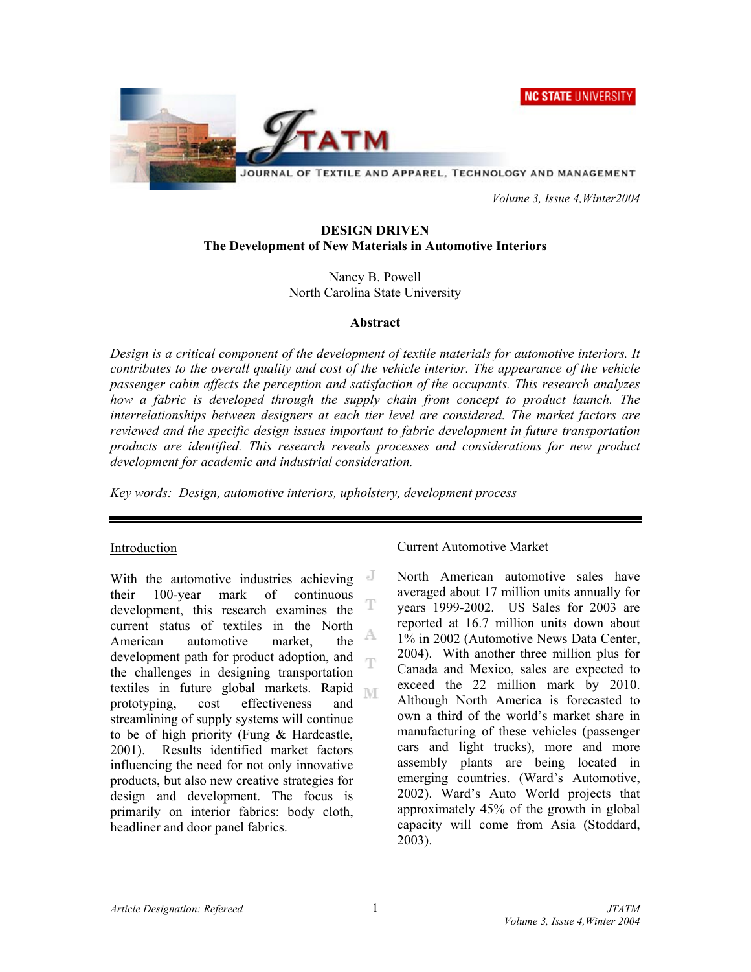**NC STATE UNIVERSITY** 



JOURNAL OF TEXTILE AND APPAREL, TECHNOLOGY AND MANAGEMENT

 *Volume 3, Issue 4,Winter2004* 

## **DESIGN DRIVEN The Development of New Materials in Automotive Interiors**

Nancy B. Powell North Carolina State University

#### **Abstract**

*Design is a critical component of the development of textile materials for automotive interiors. It contributes to the overall quality and cost of the vehicle interior. The appearance of the vehicle passenger cabin affects the perception and satisfaction of the occupants. This research analyzes how a fabric is developed through the supply chain from concept to product launch. The interrelationships between designers at each tier level are considered. The market factors are reviewed and the specific design issues important to fabric development in future transportation products are identified. This research reveals processes and considerations for new product development for academic and industrial consideration.* 

*Key words: Design, automotive interiors, upholstery, development process* 

## Introduction

With the automotive industries achieving their 100-year mark of continuous development, this research examines the current status of textiles in the North A American automotive market, the development path for product adoption, and Ŧ the challenges in designing transportation textiles in future global markets. Rapid prototyping, cost effectiveness and streamlining of supply systems will continue to be of high priority (Fung & Hardcastle, 2001). Results identified market factors influencing the need for not only innovative products, but also new creative strategies for design and development. The focus is primarily on interior fabrics: body cloth, headliner and door panel fabrics.

## Current Automotive Market

North American automotive sales have averaged about 17 million units annually for years 1999-2002. US Sales for 2003 are reported at 16.7 million units down about 1% in 2002 (Automotive News Data Center, 2004). With another three million plus for Canada and Mexico, sales are expected to exceed the 22 million mark by 2010. Although North America is forecasted to own a third of the world's market share in manufacturing of these vehicles (passenger cars and light trucks), more and more assembly plants are being located in emerging countries. (Ward's Automotive, 2002). Ward's Auto World projects that approximately 45% of the growth in global capacity will come from Asia (Stoddard, 2003).

1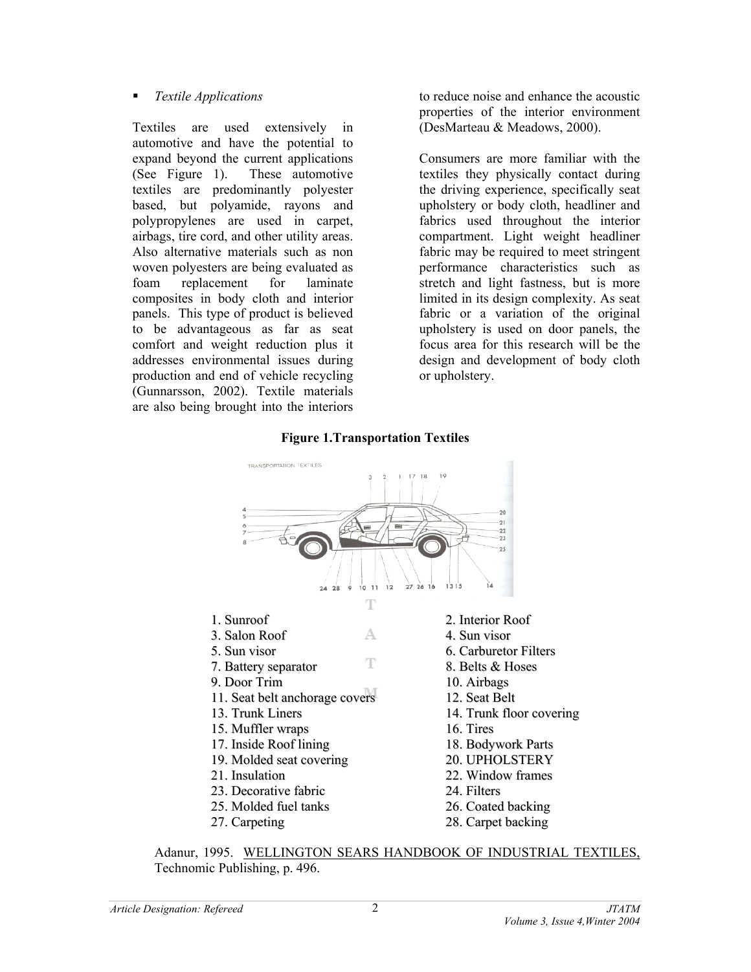## *Textile Applications*

Textiles are used extensively in automotive and have the potential to expand beyond the current applications (See Figure 1). These automotive textiles are predominantly polyester based, but polyamide, rayons and polypropylenes are used in carpet, airbags, tire cord, and other utility areas. Also alternative materials such as non woven polyesters are being evaluated as foam replacement for laminate composites in body cloth and interior panels. This type of product is believed to be advantageous as far as seat comfort and weight reduction plus it addresses environmental issues during production and end of vehicle recycling (Gunnarsson, 2002). Textile materials are also being brought into the interiors

to reduce noise and enhance the acoustic properties of the interior environment (DesMarteau & Meadows, 2000).

Consumers are more familiar with the textiles they physically contact during the driving experience, specifically seat upholstery or body cloth, headliner and fabrics used throughout the interior compartment. Light weight headliner fabric may be required to meet stringent performance characteristics such as stretch and light fastness, but is more limited in its design complexity. As seat fabric or a variation of the original upholstery is used on door panels, the focus area for this research will be the design and development of body cloth or upholstery.

## **Figure 1.Transportation Textiles**



Adanur, 1995. WELLINGTON SEARS HANDBOOK OF INDUSTRIAL TEXTILES, Technomic Publishing, p. 496.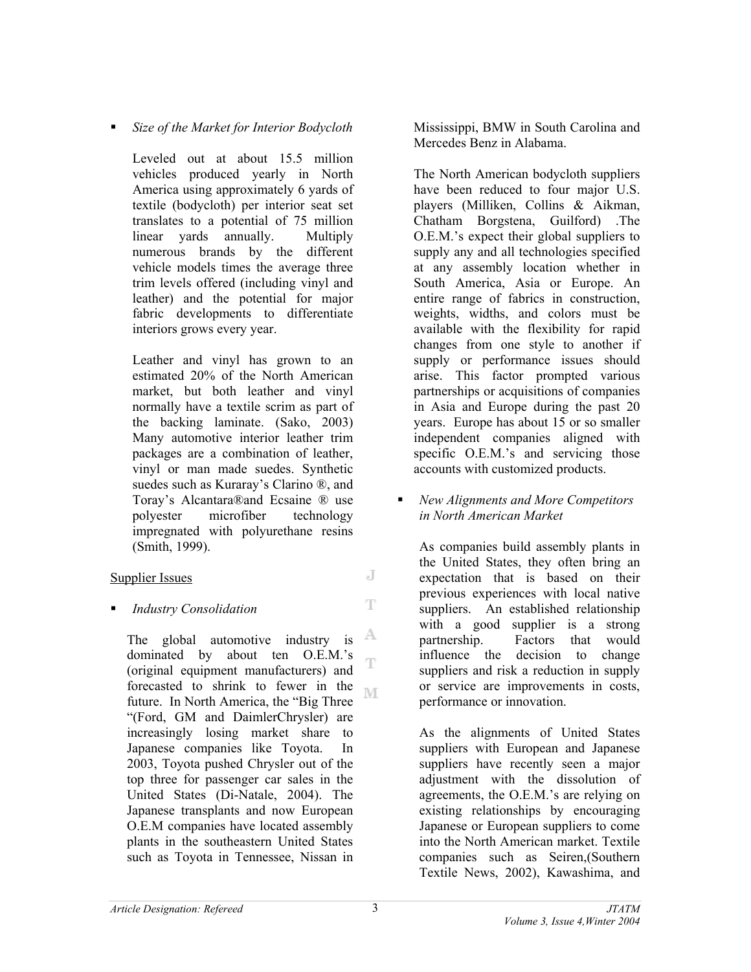*Size of the Market for Interior Bodycloth* 

Leveled out at about 15.5 million vehicles produced yearly in North America using approximately 6 yards of textile (bodycloth) per interior seat set translates to a potential of 75 million linear yards annually. Multiply numerous brands by the different vehicle models times the average three trim levels offered (including vinyl and leather) and the potential for major fabric developments to differentiate interiors grows every year.

Leather and vinyl has grown to an estimated 20% of the North American market, but both leather and vinyl normally have a textile scrim as part of the backing laminate. (Sako, 2003) Many automotive interior leather trim packages are a combination of leather, vinyl or man made suedes. Synthetic suedes such as Kuraray's Clarino ®, and Toray's Alcantara®and Ecsaine ® use polyester microfiber technology impregnated with polyurethane resins (Smith, 1999).

## Supplier Issues

## *Industry Consolidation*

A The global automotive industry is dominated by about ten O.E.M.'s Ŧ (original equipment manufacturers) and forecasted to shrink to fewer in the M future. In North America, the "Big Three "(Ford, GM and DaimlerChrysler) are increasingly losing market share to Japanese companies like Toyota. In 2003, Toyota pushed Chrysler out of the top three for passenger car sales in the United States (Di-Natale, 2004). The Japanese transplants and now European O.E.M companies have located assembly plants in the southeastern United States such as Toyota in Tennessee, Nissan in

Mississippi, BMW in South Carolina and Mercedes Benz in Alabama.

The North American bodycloth suppliers have been reduced to four major U.S. players (Milliken, Collins & Aikman, Chatham Borgstena, Guilford) .The O.E.M.'s expect their global suppliers to supply any and all technologies specified at any assembly location whether in South America, Asia or Europe. An entire range of fabrics in construction, weights, widths, and colors must be available with the flexibility for rapid changes from one style to another if supply or performance issues should arise. This factor prompted various partnerships or acquisitions of companies in Asia and Europe during the past 20 years. Europe has about 15 or so smaller independent companies aligned with specific O.E.M.'s and servicing those accounts with customized products.

## *New Alignments and More Competitors in North American Market*

As companies build assembly plants in the United States, they often bring an expectation that is based on their previous experiences with local native suppliers. An established relationship with a good supplier is a strong partnership. Factors that would influence the decision to change suppliers and risk a reduction in supply or service are improvements in costs, performance or innovation.

As the alignments of United States suppliers with European and Japanese suppliers have recently seen a major adjustment with the dissolution of agreements, the O.E.M.'s are relying on existing relationships by encouraging Japanese or European suppliers to come into the North American market. Textile companies such as Seiren,(Southern Textile News, 2002), Kawashima, and

J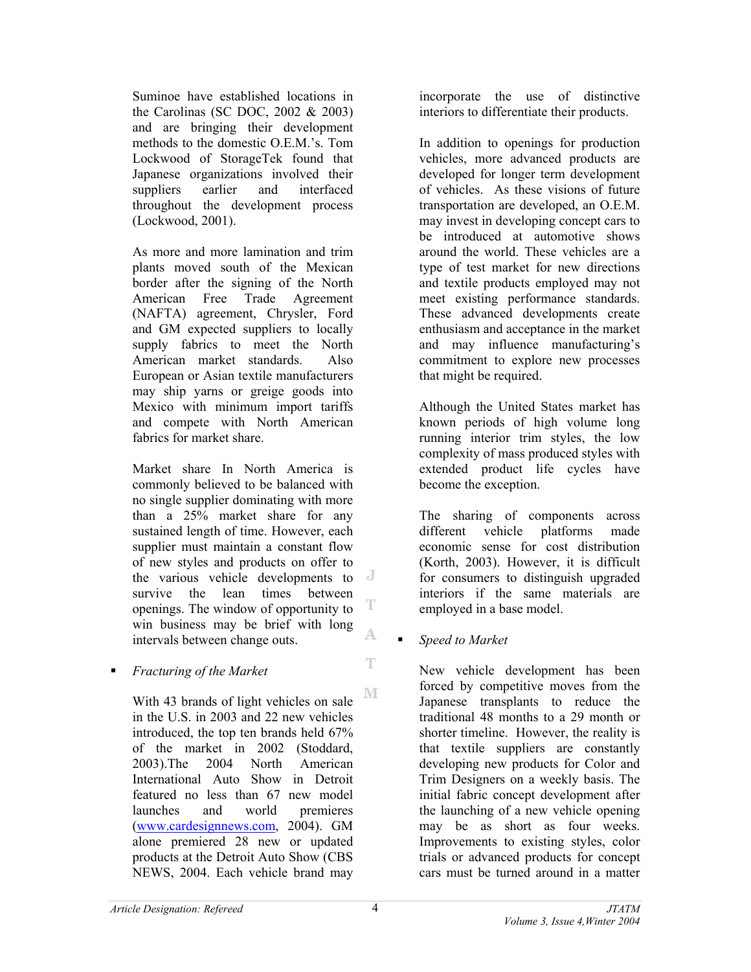Suminoe have established locations in the Carolinas (SC DOC, 2002 & 2003) and are bringing their development methods to the domestic O.E.M.'s. Tom Lockwood of StorageTek found that Japanese organizations involved their suppliers earlier and interfaced throughout the development process (Lockwood, 2001).

As more and more lamination and trim plants moved south of the Mexican border after the signing of the North American Free Trade Agreement (NAFTA) agreement, Chrysler, Ford and GM expected suppliers to locally supply fabrics to meet the North American market standards. Also European or Asian textile manufacturers may ship yarns or greige goods into Mexico with minimum import tariffs and compete with North American fabrics for market share.

Market share In North America is commonly believed to be balanced with no single supplier dominating with more than a 25% market share for any sustained length of time. However, each supplier must maintain a constant flow of new styles and products on offer to the various vehicle developments to survive the lean times between T openings. The window of opportunity to win business may be brief with long A. intervals between change outs.

## *Fracturing of the Market*

M With 43 brands of light vehicles on sale in the U.S. in 2003 and 22 new vehicles introduced, the top ten brands held 67% of the market in 2002 (Stoddard, 2003).The 2004 North American International Auto Show in Detroit featured no less than 67 new model launches and world premieres (www.cardesignnews.com, 2004). GM alone premiered 28 new or updated products at the Detroit Auto Show (CBS NEWS, 2004. Each vehicle brand may

incorporate the use of distinctive interiors to differentiate their products.

In addition to openings for production vehicles, more advanced products are developed for longer term development of vehicles. As these visions of future transportation are developed, an O.E.M. may invest in developing concept cars to be introduced at automotive shows around the world. These vehicles are a type of test market for new directions and textile products employed may not meet existing performance standards. These advanced developments create enthusiasm and acceptance in the market and may influence manufacturing's commitment to explore new processes that might be required.

Although the United States market has known periods of high volume long running interior trim styles, the low complexity of mass produced styles with extended product life cycles have become the exception.

The sharing of components across different vehicle platforms made economic sense for cost distribution (Korth, 2003). However, it is difficult for consumers to distinguish upgraded interiors if the same materials are employed in a base model.

*Speed to Market* 

New vehicle development has been forced by competitive moves from the Japanese transplants to reduce the traditional 48 months to a 29 month or shorter timeline. However, the reality is that textile suppliers are constantly developing new products for Color and Trim Designers on a weekly basis. The initial fabric concept development after the launching of a new vehicle opening may be as short as four weeks. Improvements to existing styles, color trials or advanced products for concept cars must be turned around in a matter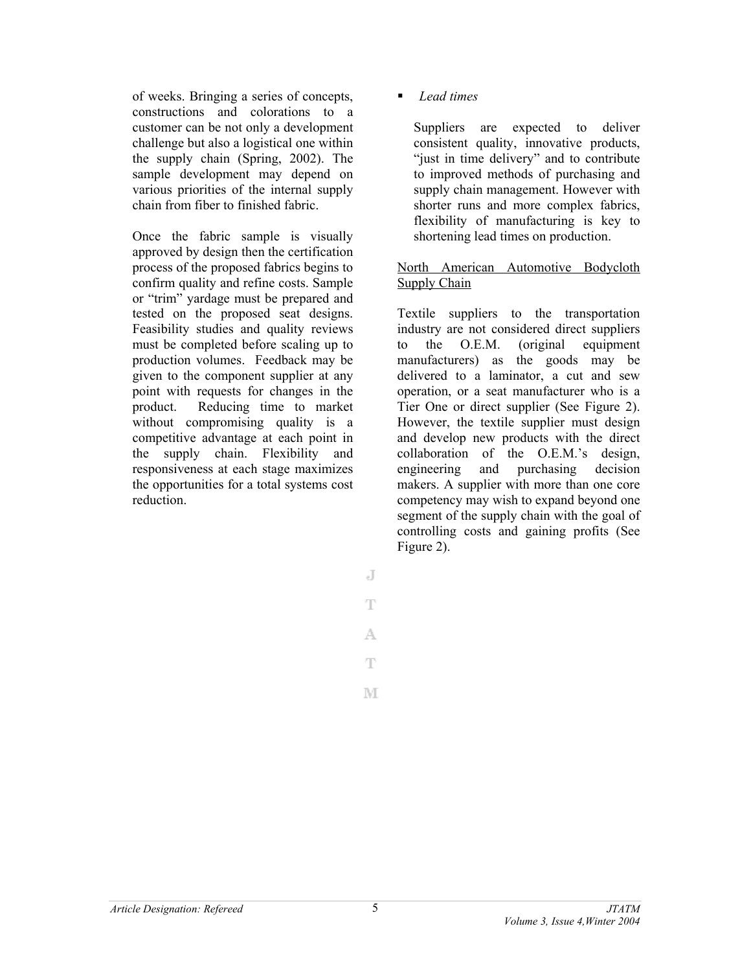of weeks. Bringing a series of concepts, constructions and colorations to a customer can be not only a development challenge but also a logistical one within the supply chain (Spring, 2002). The sample development may depend on various priorities of the internal supply chain from fiber to finished fabric.

Once the fabric sample is visually approved by design then the certification process of the proposed fabrics begins to confirm quality and refine costs. Sample or "trim" yardage must be prepared and tested on the proposed seat designs. Feasibility studies and quality reviews must be completed before scaling up to production volumes. Feedback may be given to the component supplier at any point with requests for changes in the product. Reducing time to market without compromising quality is a competitive advantage at each point in the supply chain. Flexibility and responsiveness at each stage maximizes the opportunities for a total systems cost reduction.

*Lead times* 

Suppliers are expected to deliver consistent quality, innovative products, "just in time delivery" and to contribute to improved methods of purchasing and supply chain management. However with shorter runs and more complex fabrics, flexibility of manufacturing is key to shortening lead times on production.

## North American Automotive Bodycloth Supply Chain

Textile suppliers to the transportation industry are not considered direct suppliers to the O.E.M. (original equipment manufacturers) as the goods may be delivered to a laminator, a cut and sew operation, or a seat manufacturer who is a Tier One or direct supplier (See Figure 2). However, the textile supplier must design and develop new products with the direct collaboration of the O.E.M.'s design, engineering and purchasing decision makers. A supplier with more than one core competency may wish to expand beyond one segment of the supply chain with the goal of controlling costs and gaining profits (See Figure 2).

J

T

A.

 $\mathbb T$ 

M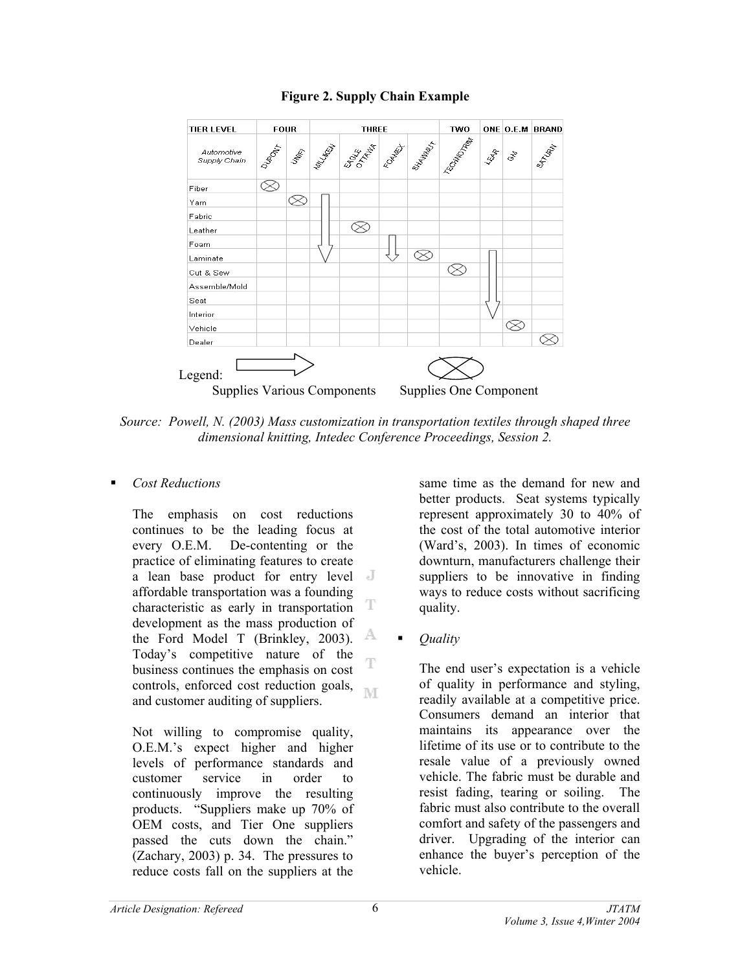

## **Figure 2. Supply Chain Example**

*Source: Powell, N. (2003) Mass customization in transportation textiles through shaped three dimensional knitting, Intedec Conference Proceedings, Session 2.* 

## *Cost Reductions*

The emphasis on cost reductions continues to be the leading focus at every O.E.M. De-contenting or the practice of eliminating features to create a lean base product for entry level affordable transportation was a founding characteristic as early in transportation T development as the mass production of A the Ford Model T (Brinkley, 2003). Today's competitive nature of the T business continues the emphasis on cost controls, enforced cost reduction goals, M and customer auditing of suppliers.

Not willing to compromise quality, O.E.M.'s expect higher and higher levels of performance standards and customer service in order to continuously improve the resulting products. "Suppliers make up 70% of OEM costs, and Tier One suppliers passed the cuts down the chain." (Zachary, 2003) p. 34. The pressures to reduce costs fall on the suppliers at the

same time as the demand for new and better products. Seat systems typically represent approximately 30 to 40% of the cost of the total automotive interior (Ward's, 2003). In times of economic downturn, manufacturers challenge their suppliers to be innovative in finding ways to reduce costs without sacrificing quality.

*Quality* 

The end user's expectation is a vehicle of quality in performance and styling, readily available at a competitive price. Consumers demand an interior that maintains its appearance over the lifetime of its use or to contribute to the resale value of a previously owned vehicle. The fabric must be durable and resist fading, tearing or soiling. The fabric must also contribute to the overall comfort and safety of the passengers and driver. Upgrading of the interior can enhance the buyer's perception of the vehicle.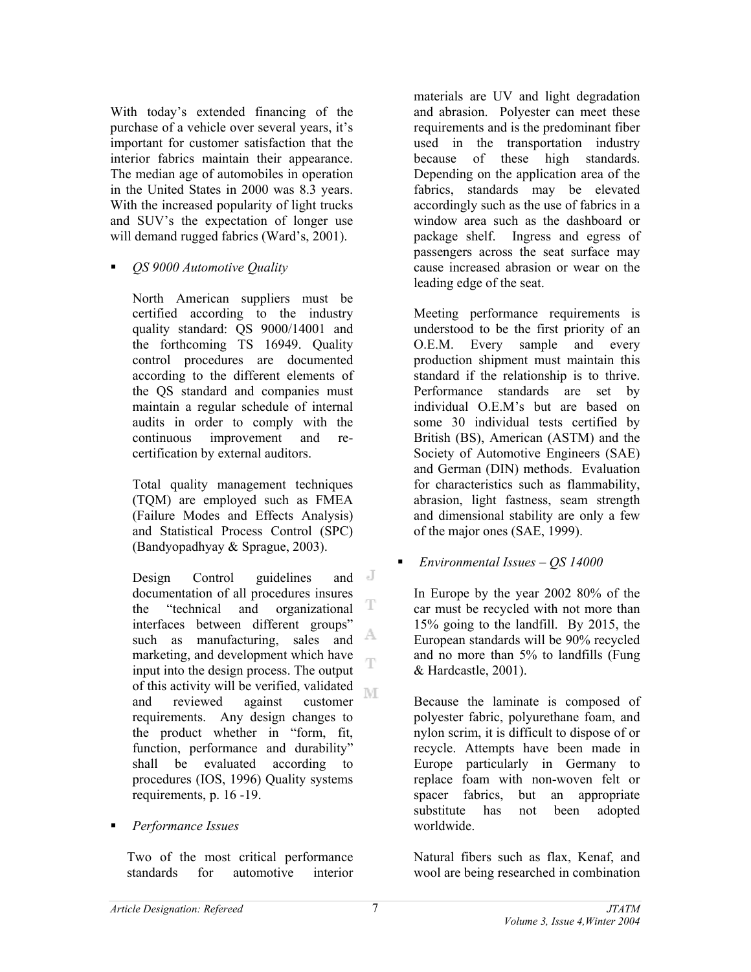With today's extended financing of the purchase of a vehicle over several years, it's important for customer satisfaction that the interior fabrics maintain their appearance. The median age of automobiles in operation in the United States in 2000 was 8.3 years. With the increased popularity of light trucks and SUV's the expectation of longer use will demand rugged fabrics (Ward's, 2001).

*QS 9000 Automotive Quality* 

North American suppliers must be certified according to the industry quality standard: QS 9000/14001 and the forthcoming TS 16949. Quality control procedures are documented according to the different elements of the QS standard and companies must maintain a regular schedule of internal audits in order to comply with the continuous improvement and recertification by external auditors.

Total quality management techniques (TQM) are employed such as FMEA (Failure Modes and Effects Analysis) and Statistical Process Control (SPC) (Bandyopadhyay & Sprague, 2003).

 $\overline{d}$ Design Control guidelines and documentation of all procedures insures T the "technical and organizational interfaces between different groups" A such as manufacturing, sales and marketing, and development which have Ŧ input into the design process. The output of this activity will be verified, validated M and reviewed against customer requirements. Any design changes to the product whether in "form, fit, function, performance and durability" shall be evaluated according to procedures (IOS, 1996) Quality systems requirements, p. 16 -19.

## *Performance Issues*

Two of the most critical performance standards for automotive interior materials are UV and light degradation and abrasion. Polyester can meet these requirements and is the predominant fiber used in the transportation industry because of these high standards. Depending on the application area of the fabrics, standards may be elevated accordingly such as the use of fabrics in a window area such as the dashboard or package shelf. Ingress and egress of passengers across the seat surface may cause increased abrasion or wear on the leading edge of the seat.

Meeting performance requirements is understood to be the first priority of an O.E.M. Every sample and every production shipment must maintain this standard if the relationship is to thrive. Performance standards are set by individual O.E.M's but are based on some 30 individual tests certified by British (BS), American (ASTM) and the Society of Automotive Engineers (SAE) and German (DIN) methods. Evaluation for characteristics such as flammability, abrasion, light fastness, seam strength and dimensional stability are only a few of the major ones (SAE, 1999).

## *Environmental Issues – QS 14000*

In Europe by the year 2002 80% of the car must be recycled with not more than 15% going to the landfill. By 2015, the European standards will be 90% recycled and no more than 5% to landfills (Fung & Hardcastle, 2001).

Because the laminate is composed of polyester fabric, polyurethane foam, and nylon scrim, it is difficult to dispose of or recycle. Attempts have been made in Europe particularly in Germany to replace foam with non-woven felt or spacer fabrics, but an appropriate substitute has not been adopted worldwide.

Natural fibers such as flax, Kenaf, and wool are being researched in combination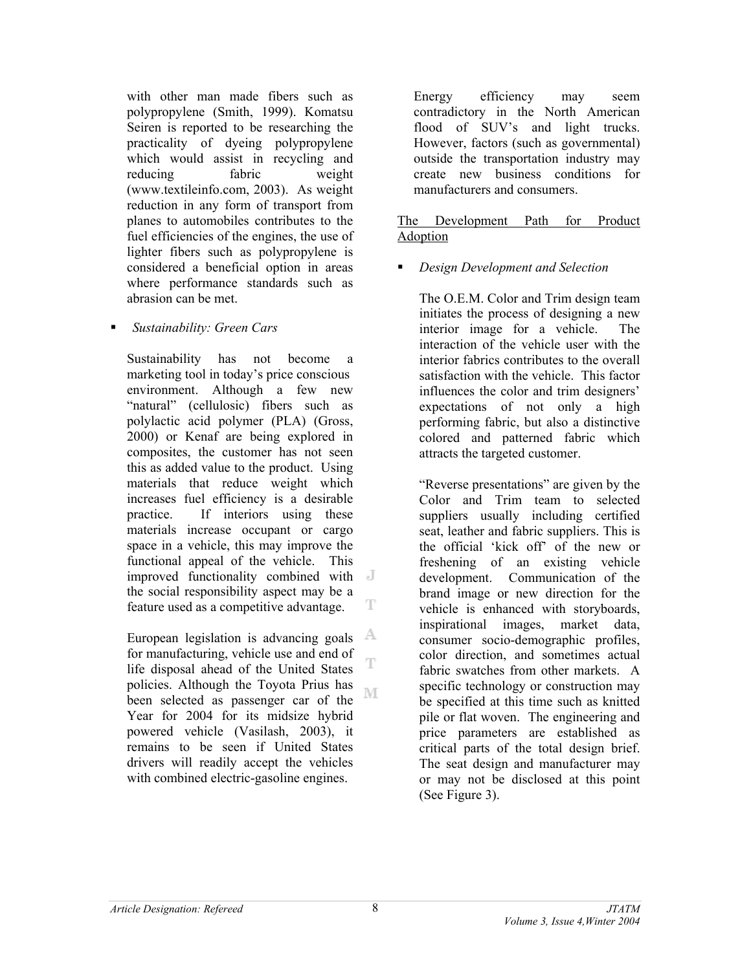with other man made fibers such as polypropylene (Smith, 1999). Komatsu Seiren is reported to be researching the practicality of dyeing polypropylene which would assist in recycling and reducing fabric weight (www.textileinfo.com, 2003). As weight reduction in any form of transport from planes to automobiles contributes to the fuel efficiencies of the engines, the use of lighter fibers such as polypropylene is considered a beneficial option in areas where performance standards such as abrasion can be met.

#### *Sustainability: Green Cars*

Sustainability has not become a marketing tool in today's price conscious environment. Although a few new "natural" (cellulosic) fibers such as polylactic acid polymer (PLA) (Gross, 2000) or Kenaf are being explored in composites, the customer has not seen this as added value to the product. Using materials that reduce weight which increases fuel efficiency is a desirable practice. If interiors using these materials increase occupant or cargo space in a vehicle, this may improve the functional appeal of the vehicle. This improved functionality combined with the social responsibility aspect may be a т feature used as a competitive advantage.

A. European legislation is advancing goals for manufacturing, vehicle use and end of T life disposal ahead of the United States policies. Although the Toyota Prius has M been selected as passenger car of the Year for 2004 for its midsize hybrid powered vehicle (Vasilash, 2003), it remains to be seen if United States drivers will readily accept the vehicles with combined electric-gasoline engines.

Energy efficiency may seem contradictory in the North American flood of SUV's and light trucks. However, factors (such as governmental) outside the transportation industry may create new business conditions for manufacturers and consumers.

### The Development Path for Product Adoption

## *Design Development and Selection*

The O.E.M. Color and Trim design team initiates the process of designing a new interior image for a vehicle. The interaction of the vehicle user with the interior fabrics contributes to the overall satisfaction with the vehicle. This factor influences the color and trim designers' expectations of not only a high performing fabric, but also a distinctive colored and patterned fabric which attracts the targeted customer.

"Reverse presentations" are given by the Color and Trim team to selected suppliers usually including certified seat, leather and fabric suppliers. This is the official 'kick off' of the new or freshening of an existing vehicle development. Communication of the brand image or new direction for the vehicle is enhanced with storyboards, inspirational images, market data, consumer socio-demographic profiles, color direction, and sometimes actual fabric swatches from other markets. A specific technology or construction may be specified at this time such as knitted pile or flat woven. The engineering and price parameters are established as critical parts of the total design brief. The seat design and manufacturer may or may not be disclosed at this point (See Figure 3).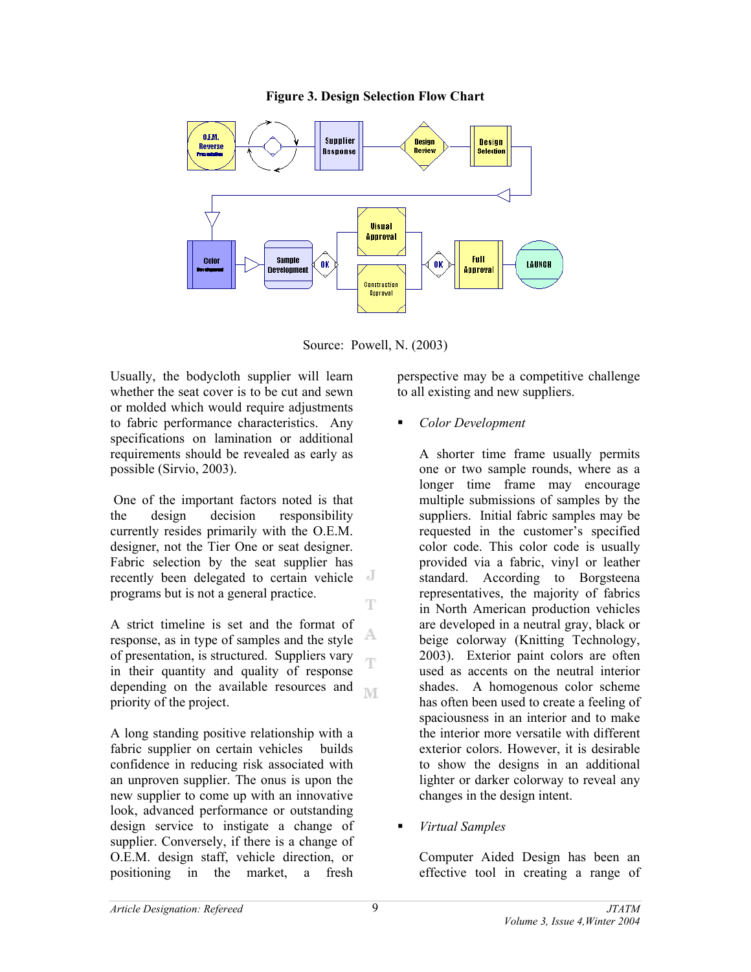#### **Figure 3. Design Selection Flow Chart**



Source: Powell, N. (2003)

T

Ŧ

Usually, the bodycloth supplier will learn whether the seat cover is to be cut and sewn or molded which would require adjustments to fabric performance characteristics. Any specifications on lamination or additional requirements should be revealed as early as possible (Sirvio, 2003).

 One of the important factors noted is that the design decision responsibility currently resides primarily with the O.E.M. designer, not the Tier One or seat designer. Fabric selection by the seat supplier has - J recently been delegated to certain vehicle programs but is not a general practice.

A strict timeline is set and the format of A response, as in type of samples and the style of presentation, is structured. Suppliers vary in their quantity and quality of response depending on the available resources and  $\mathbb{N} \cap \mathbb{F}$ priority of the project.

A long standing positive relationship with a fabric supplier on certain vehicles builds confidence in reducing risk associated with an unproven supplier. The onus is upon the new supplier to come up with an innovative look, advanced performance or outstanding design service to instigate a change of supplier. Conversely, if there is a change of O.E.M. design staff, vehicle direction, or positioning in the market, a fresh

perspective may be a competitive challenge to all existing and new suppliers.

*Color Development* 

A shorter time frame usually permits one or two sample rounds, where as a longer time frame may encourage multiple submissions of samples by the suppliers. Initial fabric samples may be requested in the customer's specified color code. This color code is usually provided via a fabric, vinyl or leather standard. According to Borgsteena representatives, the majority of fabrics in North American production vehicles are developed in a neutral gray, black or beige colorway (Knitting Technology, 2003). Exterior paint colors are often used as accents on the neutral interior shades. A homogenous color scheme has often been used to create a feeling of spaciousness in an interior and to make the interior more versatile with different exterior colors. However, it is desirable to show the designs in an additional lighter or darker colorway to reveal any changes in the design intent.

*Virtual Samples* 

Computer Aided Design has been an effective tool in creating a range of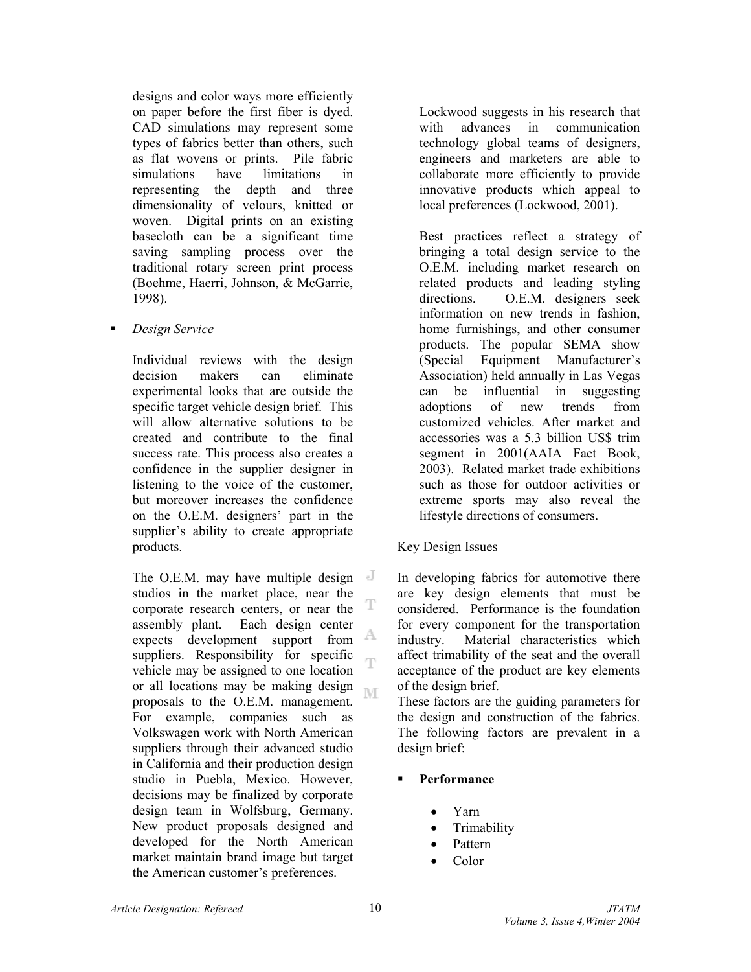designs and color ways more efficiently on paper before the first fiber is dyed. CAD simulations may represent some types of fabrics better than others, such as flat wovens or prints. Pile fabric simulations have limitations in representing the depth and three dimensionality of velours, knitted or woven. Digital prints on an existing basecloth can be a significant time saving sampling process over the traditional rotary screen print process (Boehme, Haerri, Johnson, & McGarrie, 1998).

*Design Service* 

Individual reviews with the design decision makers can eliminate experimental looks that are outside the specific target vehicle design brief. This will allow alternative solutions to be created and contribute to the final success rate. This process also creates a confidence in the supplier designer in listening to the voice of the customer, but moreover increases the confidence on the O.E.M. designers' part in the supplier's ability to create appropriate products.

The O.E.M. may have multiple design studios in the market place, near the т corporate research centers, or near the assembly plant. Each design center A expects development support from suppliers. Responsibility for specific vehicle may be assigned to one location or all locations may be making design M proposals to the O.E.M. management. For example, companies such as Volkswagen work with North American suppliers through their advanced studio in California and their production design studio in Puebla, Mexico. However, decisions may be finalized by corporate design team in Wolfsburg, Germany. New product proposals designed and developed for the North American market maintain brand image but target the American customer's preferences.

Lockwood suggests in his research that with advances in communication technology global teams of designers, engineers and marketers are able to collaborate more efficiently to provide innovative products which appeal to local preferences (Lockwood, 2001).

Best practices reflect a strategy of bringing a total design service to the O.E.M. including market research on related products and leading styling directions. O.E.M. designers seek information on new trends in fashion, home furnishings, and other consumer products. The popular SEMA show (Special Equipment Manufacturer's Association) held annually in Las Vegas can be influential in suggesting adoptions of new trends from customized vehicles. After market and accessories was a 5.3 billion US\$ trim segment in 2001(AAIA Fact Book, 2003). Related market trade exhibitions such as those for outdoor activities or extreme sports may also reveal the lifestyle directions of consumers.

## Key Design Issues

In developing fabrics for automotive there are key design elements that must be considered. Performance is the foundation for every component for the transportation industry. Material characteristics which affect trimability of the seat and the overall acceptance of the product are key elements of the design brief.

These factors are the guiding parameters for the design and construction of the fabrics. The following factors are prevalent in a design brief:

- **Performance** 
	- Yarn
	- Trimability
	- Pattern
	- Color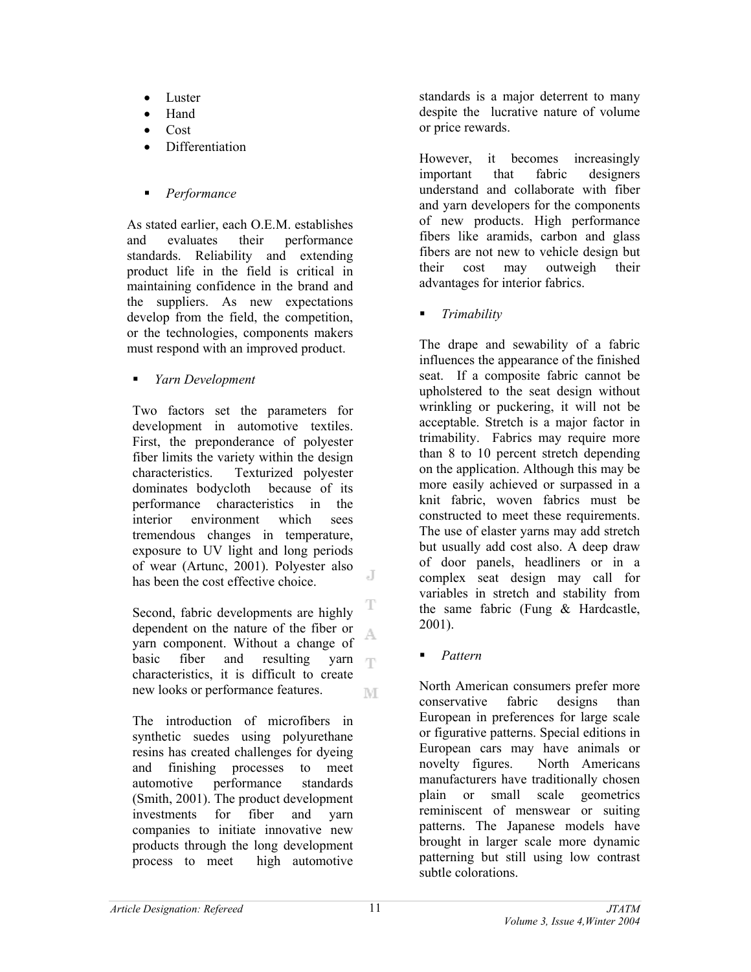- Luster
- Hand
- Cost
- Differentiation
- *Performance*

As stated earlier, each O.E.M. establishes and evaluates their performance standards. Reliability and extending product life in the field is critical in maintaining confidence in the brand and the suppliers. As new expectations develop from the field, the competition, or the technologies, components makers must respond with an improved product.

*Yarn Development* 

Two factors set the parameters for development in automotive textiles. First, the preponderance of polyester fiber limits the variety within the design characteristics. Texturized polyester dominates bodycloth because of its performance characteristics in the interior environment which sees tremendous changes in temperature, exposure to UV light and long periods of wear (Artunc, 2001). Polyester also J has been the cost effective choice.

T Second, fabric developments are highly dependent on the nature of the fiber or A. yarn component. Without a change of basic fiber and resulting yarn  $\Gamma\Gamma$ characteristics, it is difficult to create new looks or performance features. M

The introduction of microfibers in synthetic suedes using polyurethane resins has created challenges for dyeing and finishing processes to meet automotive performance standards (Smith, 2001). The product development investments for fiber and yarn companies to initiate innovative new products through the long development process to meet high automotive

standards is a major deterrent to many despite the lucrative nature of volume or price rewards.

However, it becomes increasingly important that fabric designers understand and collaborate with fiber and yarn developers for the components of new products. High performance fibers like aramids, carbon and glass fibers are not new to vehicle design but their cost may outweigh their advantages for interior fabrics.

*Trimability* 

The drape and sewability of a fabric influences the appearance of the finished seat. If a composite fabric cannot be upholstered to the seat design without wrinkling or puckering, it will not be acceptable. Stretch is a major factor in trimability. Fabrics may require more than 8 to 10 percent stretch depending on the application. Although this may be more easily achieved or surpassed in a knit fabric, woven fabrics must be constructed to meet these requirements. The use of elaster yarns may add stretch but usually add cost also. A deep draw of door panels, headliners or in a complex seat design may call for variables in stretch and stability from the same fabric (Fung & Hardcastle, 2001).

*Pattern* 

North American consumers prefer more conservative fabric designs than European in preferences for large scale or figurative patterns. Special editions in European cars may have animals or novelty figures. North Americans manufacturers have traditionally chosen plain or small scale geometrics reminiscent of menswear or suiting patterns. The Japanese models have brought in larger scale more dynamic patterning but still using low contrast subtle colorations.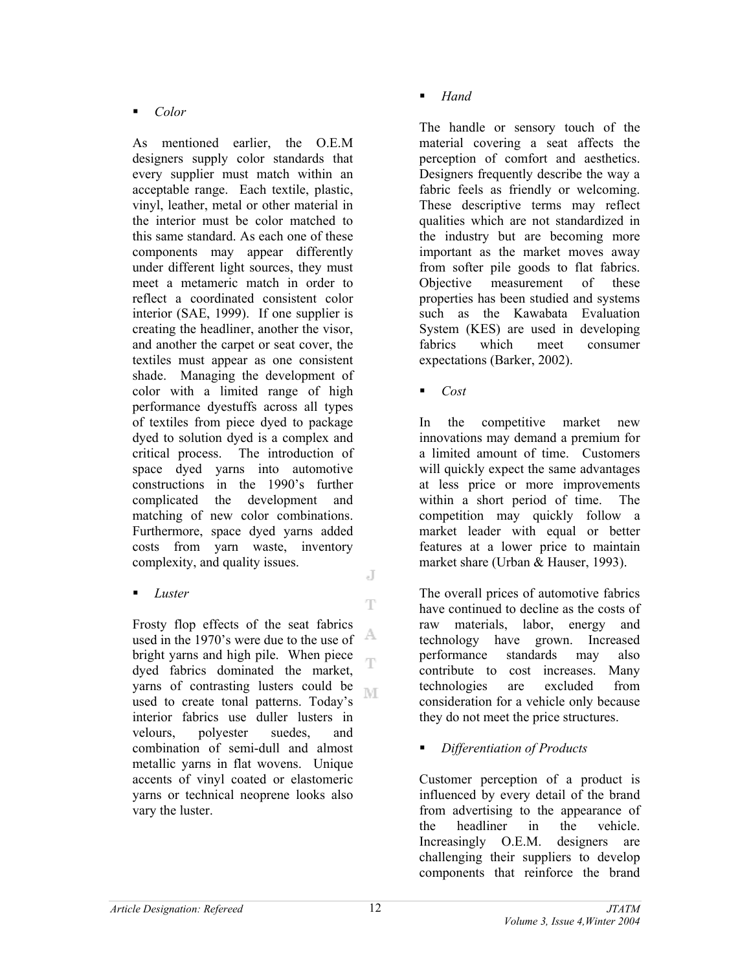*Color* 

As mentioned earlier, the O.E.M designers supply color standards that every supplier must match within an acceptable range. Each textile, plastic, vinyl, leather, metal or other material in the interior must be color matched to this same standard. As each one of these components may appear differently under different light sources, they must meet a metameric match in order to reflect a coordinated consistent color interior (SAE, 1999). If one supplier is creating the headliner, another the visor, and another the carpet or seat cover, the textiles must appear as one consistent shade. Managing the development of color with a limited range of high performance dyestuffs across all types of textiles from piece dyed to package dyed to solution dyed is a complex and critical process. The introduction of space dyed yarns into automotive constructions in the 1990's further complicated the development and matching of new color combinations. Furthermore, space dyed yarns added costs from yarn waste, inventory complexity, and quality issues. J

*Luster* 

Frosty flop effects of the seat fabrics A used in the 1970's were due to the use of bright yarns and high pile. When piece ηy dyed fabrics dominated the market, yarns of contrasting lusters could be M used to create tonal patterns. Today's interior fabrics use duller lusters in velours, polyester suedes, and combination of semi-dull and almost metallic yarns in flat wovens. Unique accents of vinyl coated or elastomeric yarns or technical neoprene looks also vary the luster.

*Hand* 

The handle or sensory touch of the material covering a seat affects the perception of comfort and aesthetics. Designers frequently describe the way a fabric feels as friendly or welcoming. These descriptive terms may reflect qualities which are not standardized in the industry but are becoming more important as the market moves away from softer pile goods to flat fabrics. Objective measurement of these properties has been studied and systems such as the Kawabata Evaluation System (KES) are used in developing fabrics which meet consumer expectations (Barker, 2002).

*Cost* 

In the competitive market new innovations may demand a premium for a limited amount of time. Customers will quickly expect the same advantages at less price or more improvements within a short period of time. The competition may quickly follow a market leader with equal or better features at a lower price to maintain market share (Urban & Hauser, 1993).

The overall prices of automotive fabrics have continued to decline as the costs of raw materials, labor, energy and technology have grown. Increased performance standards may also contribute to cost increases. Many technologies are excluded from consideration for a vehicle only because they do not meet the price structures.

## *Differentiation of Products*

Customer perception of a product is influenced by every detail of the brand from advertising to the appearance of the headliner in the vehicle. Increasingly O.E.M. designers are challenging their suppliers to develop components that reinforce the brand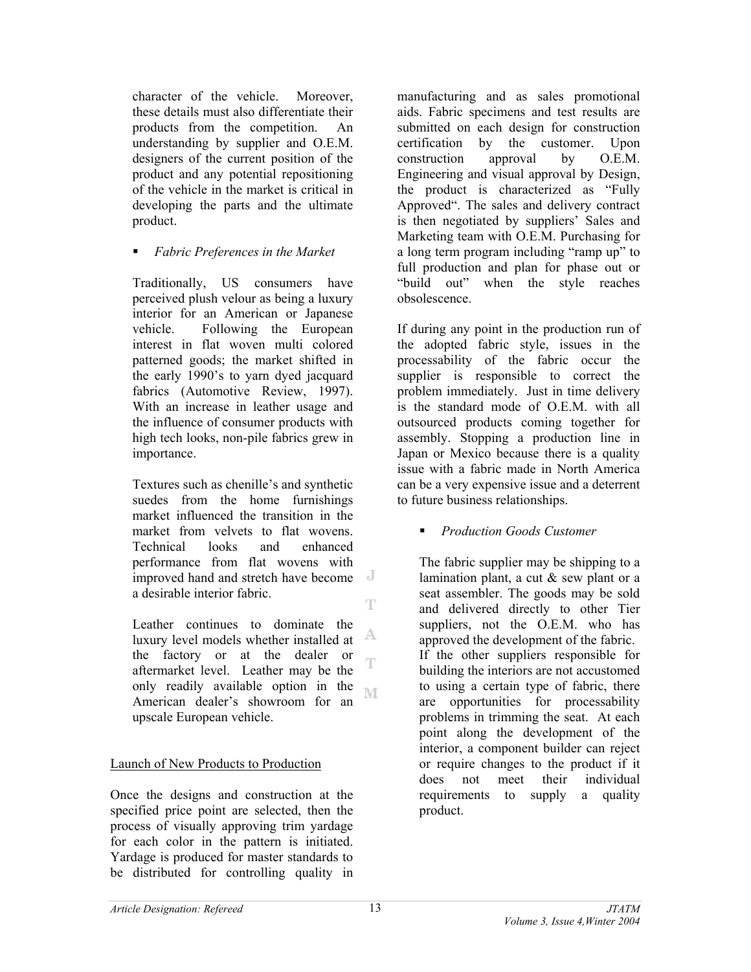character of the vehicle. Moreover, these details must also differentiate their products from the competition. An understanding by supplier and O.E.M. designers of the current position of the product and any potential repositioning of the vehicle in the market is critical in developing the parts and the ultimate product.

*Fabric Preferences in the Market* 

Traditionally, US consumers have perceived plush velour as being a luxury interior for an American or Japanese vehicle. Following the European interest in flat woven multi colored patterned goods; the market shifted in the early 1990's to yarn dyed jacquard fabrics (Automotive Review, 1997). With an increase in leather usage and the influence of consumer products with high tech looks, non-pile fabrics grew in importance.

Textures such as chenille's and synthetic suedes from the home furnishings market influenced the transition in the market from velvets to flat wovens. Technical looks and enhanced performance from flat wovens with improved hand and stretch have become a desirable interior fabric. T

Leather continues to dominate the A luxury level models whether installed at the factory or at the dealer or Ŧ aftermarket level. Leather may be the only readily available option in the M American dealer's showroom for an upscale European vehicle.

## Launch of New Products to Production

Once the designs and construction at the specified price point are selected, then the process of visually approving trim yardage for each color in the pattern is initiated. Yardage is produced for master standards to be distributed for controlling quality in

manufacturing and as sales promotional aids. Fabric specimens and test results are submitted on each design for construction certification by the customer. Upon construction approval by O.E.M. Engineering and visual approval by Design, the product is characterized as "Fully Approved". The sales and delivery contract is then negotiated by suppliers' Sales and Marketing team with O.E.M. Purchasing for a long term program including "ramp up" to full production and plan for phase out or "build out" when the style reaches obsolescence.

If during any point in the production run of the adopted fabric style, issues in the processability of the fabric occur the supplier is responsible to correct the problem immediately. Just in time delivery is the standard mode of O.E.M. with all outsourced products coming together for assembly. Stopping a production line in Japan or Mexico because there is a quality issue with a fabric made in North America can be a very expensive issue and a deterrent to future business relationships.

## *Production Goods Customer*

The fabric supplier may be shipping to a lamination plant, a cut & sew plant or a seat assembler. The goods may be sold and delivered directly to other Tier suppliers, not the O.E.M. who has approved the development of the fabric. If the other suppliers responsible for building the interiors are not accustomed to using a certain type of fabric, there are opportunities for processability problems in trimming the seat. At each point along the development of the interior, a component builder can reject or require changes to the product if it does not meet their individual requirements to supply a quality product.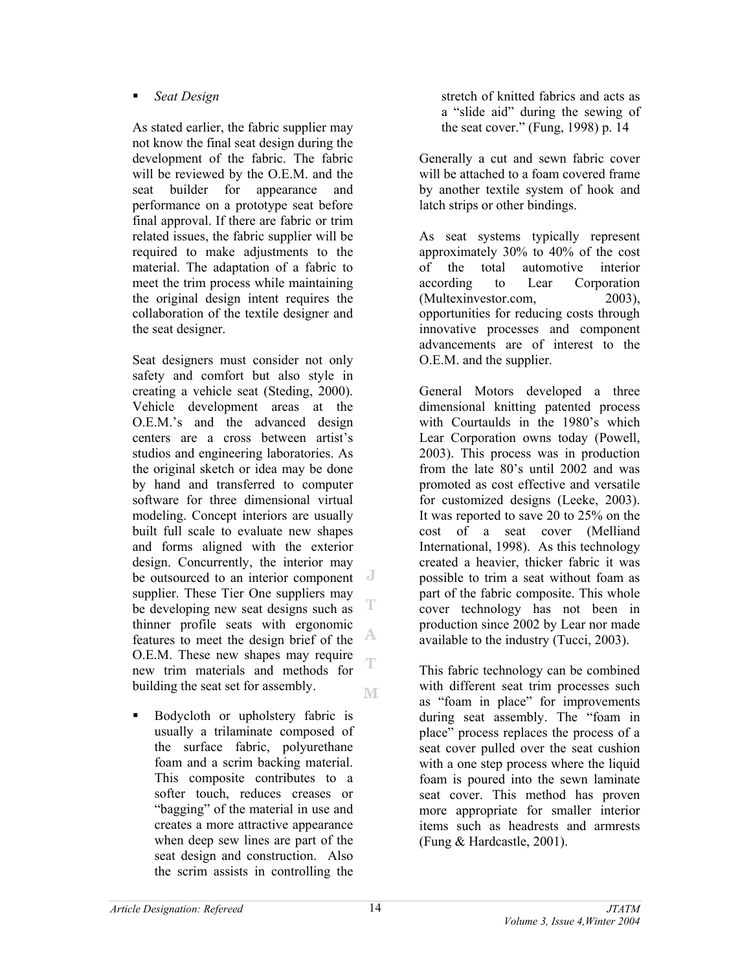## *Seat Design*

As stated earlier, the fabric supplier may not know the final seat design during the development of the fabric. The fabric will be reviewed by the O.E.M. and the seat builder for appearance and performance on a prototype seat before final approval. If there are fabric or trim related issues, the fabric supplier will be required to make adjustments to the material. The adaptation of a fabric to meet the trim process while maintaining the original design intent requires the collaboration of the textile designer and the seat designer.

Seat designers must consider not only safety and comfort but also style in creating a vehicle seat (Steding, 2000). Vehicle development areas at the O.E.M.'s and the advanced design centers are a cross between artist's studios and engineering laboratories. As the original sketch or idea may be done by hand and transferred to computer software for three dimensional virtual modeling. Concept interiors are usually built full scale to evaluate new shapes and forms aligned with the exterior design. Concurrently, the interior may be outsourced to an interior component supplier. These Tier One suppliers may T be developing new seat designs such as thinner profile seats with ergonomic A. features to meet the design brief of the O.E.M. These new shapes may require Ŧ new trim materials and methods for building the seat set for assembly. M

**Bodycloth** or upholstery fabric is usually a trilaminate composed of the surface fabric, polyurethane foam and a scrim backing material. This composite contributes to a softer touch, reduces creases or "bagging" of the material in use and creates a more attractive appearance when deep sew lines are part of the seat design and construction. Also the scrim assists in controlling the

stretch of knitted fabrics and acts as a "slide aid" during the sewing of the seat cover." (Fung, 1998) p. 14

Generally a cut and sewn fabric cover will be attached to a foam covered frame by another textile system of hook and latch strips or other bindings.

As seat systems typically represent approximately 30% to 40% of the cost of the total automotive interior according to Lear Corporation (Multexinvestor.com, 2003), opportunities for reducing costs through innovative processes and component advancements are of interest to the O.E.M. and the supplier.

General Motors developed a three dimensional knitting patented process with Courtaulds in the 1980's which Lear Corporation owns today (Powell, 2003). This process was in production from the late 80's until 2002 and was promoted as cost effective and versatile for customized designs (Leeke, 2003). It was reported to save 20 to 25% on the cost of a seat cover (Melliand International, 1998). As this technology created a heavier, thicker fabric it was possible to trim a seat without foam as part of the fabric composite. This whole cover technology has not been in production since 2002 by Lear nor made available to the industry (Tucci, 2003).

This fabric technology can be combined with different seat trim processes such as "foam in place" for improvements during seat assembly. The "foam in place" process replaces the process of a seat cover pulled over the seat cushion with a one step process where the liquid foam is poured into the sewn laminate seat cover. This method has proven more appropriate for smaller interior items such as headrests and armrests (Fung & Hardcastle, 2001).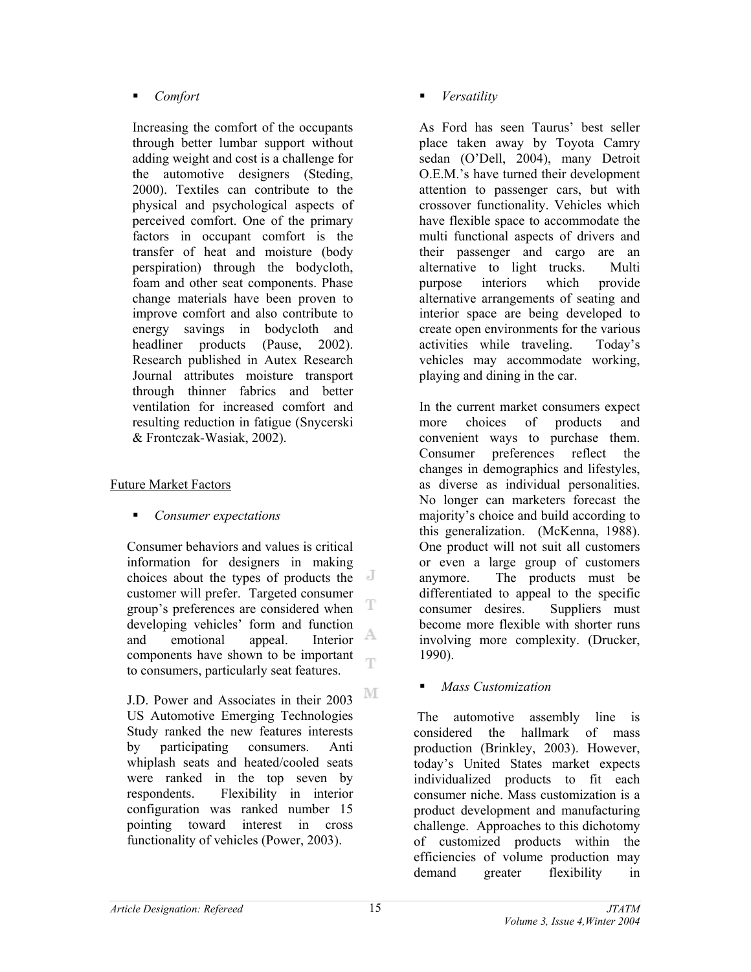## *Comfort*

Increasing the comfort of the occupants through better lumbar support without adding weight and cost is a challenge for the automotive designers (Steding, 2000). Textiles can contribute to the physical and psychological aspects of perceived comfort. One of the primary factors in occupant comfort is the transfer of heat and moisture (body perspiration) through the bodycloth, foam and other seat components. Phase change materials have been proven to improve comfort and also contribute to energy savings in bodycloth and headliner products (Pause, 2002). Research published in Autex Research Journal attributes moisture transport through thinner fabrics and better ventilation for increased comfort and resulting reduction in fatigue (Snycerski & Frontczak-Wasiak, 2002).

# Future Market Factors

*Consumer expectations* 

Consumer behaviors and values is critical information for designers in making choices about the types of products the customer will prefer. Targeted consumer T group's preferences are considered when developing vehicles' form and function A and emotional appeal. Interior components have shown to be important œ to consumers, particularly seat features.

 $\mathbb{N} \mathbb{I}$ J.D. Power and Associates in their 2003 US Automotive Emerging Technologies Study ranked the new features interests by participating consumers. Anti whiplash seats and heated/cooled seats were ranked in the top seven by respondents. Flexibility in interior configuration was ranked number 15 pointing toward interest in cross functionality of vehicles (Power, 2003).

*Versatility* 

As Ford has seen Taurus' best seller place taken away by Toyota Camry sedan (O'Dell, 2004), many Detroit O.E.M.'s have turned their development attention to passenger cars, but with crossover functionality. Vehicles which have flexible space to accommodate the multi functional aspects of drivers and their passenger and cargo are an alternative to light trucks. Multi purpose interiors which provide alternative arrangements of seating and interior space are being developed to create open environments for the various activities while traveling. Today's vehicles may accommodate working, playing and dining in the car.

In the current market consumers expect more choices of products and convenient ways to purchase them. Consumer preferences reflect the changes in demographics and lifestyles, as diverse as individual personalities. No longer can marketers forecast the majority's choice and build according to this generalization. (McKenna, 1988). One product will not suit all customers or even a large group of customers anymore. The products must be differentiated to appeal to the specific consumer desires. Suppliers must become more flexible with shorter runs involving more complexity. (Drucker, 1990).

*Mass Customization* 

 The automotive assembly line is considered the hallmark of mass production (Brinkley, 2003). However, today's United States market expects individualized products to fit each consumer niche. Mass customization is a product development and manufacturing challenge. Approaches to this dichotomy of customized products within the efficiencies of volume production may demand greater flexibility in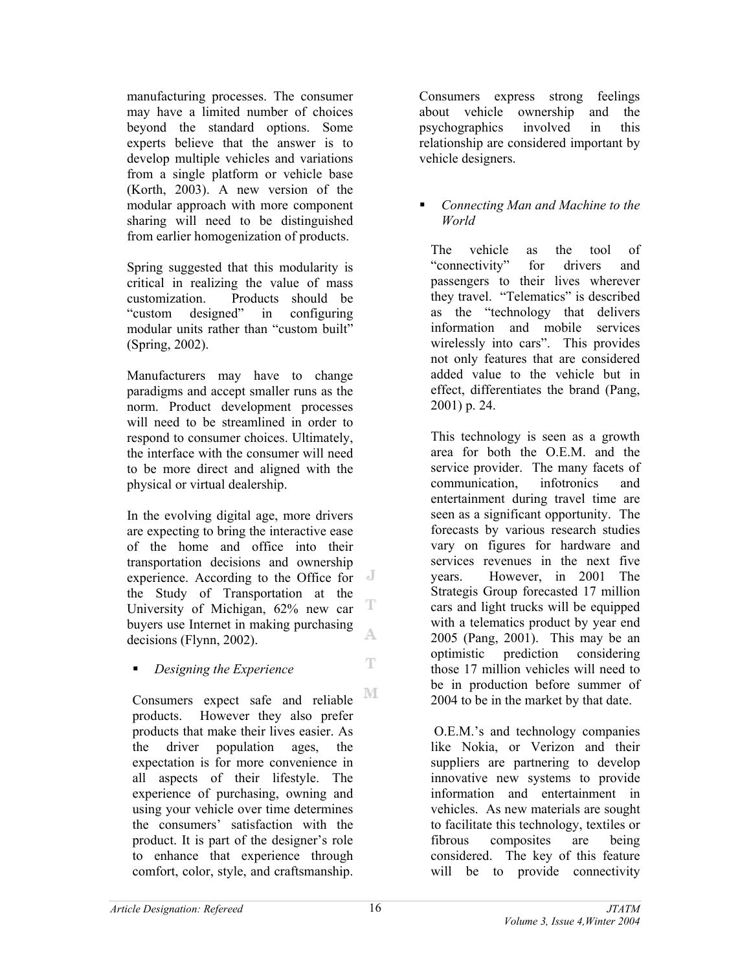manufacturing processes. The consumer may have a limited number of choices beyond the standard options. Some experts believe that the answer is to develop multiple vehicles and variations from a single platform or vehicle base (Korth, 2003). A new version of the modular approach with more component sharing will need to be distinguished from earlier homogenization of products.

Spring suggested that this modularity is critical in realizing the value of mass customization. Products should be "custom designed" in configuring modular units rather than "custom built" (Spring, 2002).

Manufacturers may have to change paradigms and accept smaller runs as the norm. Product development processes will need to be streamlined in order to respond to consumer choices. Ultimately, the interface with the consumer will need to be more direct and aligned with the physical or virtual dealership.

In the evolving digital age, more drivers are expecting to bring the interactive ease of the home and office into their transportation decisions and ownership experience. According to the Office for the Study of Transportation at the T University of Michigan, 62% new car buyers use Internet in making purchasing A. decisions (Flynn, 2002).

*Designing the Experience* 

M Consumers expect safe and reliable products. However they also prefer products that make their lives easier. As the driver population ages, the expectation is for more convenience in all aspects of their lifestyle. The experience of purchasing, owning and using your vehicle over time determines the consumers' satisfaction with the product. It is part of the designer's role to enhance that experience through comfort, color, style, and craftsmanship.

Consumers express strong feelings about vehicle ownership and the psychographics involved in this relationship are considered important by vehicle designers.

## *Connecting Man and Machine to the World*

The vehicle as the tool of "connectivity" for drivers and passengers to their lives wherever they travel. "Telematics" is described as the "technology that delivers information and mobile services wirelessly into cars". This provides not only features that are considered added value to the vehicle but in effect, differentiates the brand (Pang, 2001) p. 24.

This technology is seen as a growth area for both the O.E.M. and the service provider. The many facets of communication, infotronics and entertainment during travel time are seen as a significant opportunity. The forecasts by various research studies vary on figures for hardware and services revenues in the next five years. However, in 2001 The Strategis Group forecasted 17 million cars and light trucks will be equipped with a telematics product by year end 2005 (Pang, 2001). This may be an optimistic prediction considering those 17 million vehicles will need to be in production before summer of 2004 to be in the market by that date.

 O.E.M.'s and technology companies like Nokia, or Verizon and their suppliers are partnering to develop innovative new systems to provide information and entertainment in vehicles. As new materials are sought to facilitate this technology, textiles or fibrous composites are being considered. The key of this feature will be to provide connectivity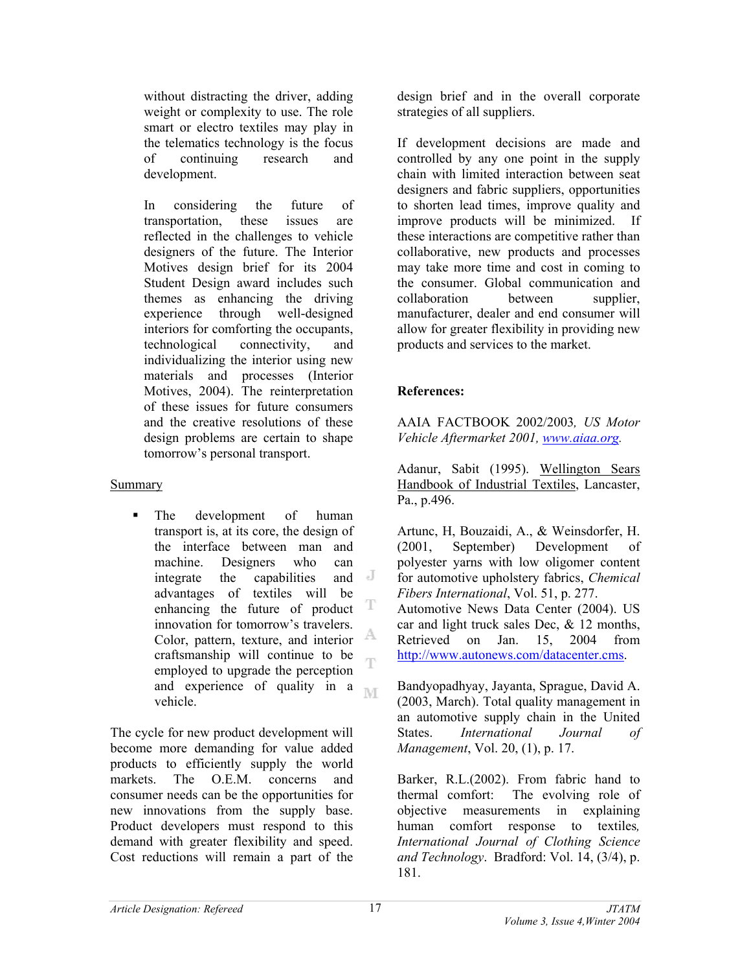without distracting the driver, adding weight or complexity to use. The role smart or electro textiles may play in the telematics technology is the focus of continuing research and development.

In considering the future of transportation, these issues are reflected in the challenges to vehicle designers of the future. The Interior Motives design brief for its 2004 Student Design award includes such themes as enhancing the driving experience through well-designed interiors for comforting the occupants, technological connectivity, and individualizing the interior using new materials and processes (Interior Motives, 2004). The reinterpretation of these issues for future consumers and the creative resolutions of these design problems are certain to shape tomorrow's personal transport.

## Summary

 The development of human transport is, at its core, the design of the interface between man and machine. Designers who can<br>integrate the canabilities and I integrate the capabilities advantages of textiles will be enhancing the future of product T innovation for tomorrow's travelers. A Color, pattern, texture, and interior craftsmanship will continue to be ηn employed to upgrade the perception and experience of quality in a **NT** vehicle.

The cycle for new product development will become more demanding for value added products to efficiently supply the world markets. The O.E.M. concerns and consumer needs can be the opportunities for new innovations from the supply base. Product developers must respond to this demand with greater flexibility and speed. Cost reductions will remain a part of the

design brief and in the overall corporate strategies of all suppliers.

If development decisions are made and controlled by any one point in the supply chain with limited interaction between seat designers and fabric suppliers, opportunities to shorten lead times, improve quality and improve products will be minimized. If these interactions are competitive rather than collaborative, new products and processes may take more time and cost in coming to the consumer. Global communication and collaboration between supplier, manufacturer, dealer and end consumer will allow for greater flexibility in providing new products and services to the market.

# **References:**

AAIA FACTBOOK 2002/2003*, US Motor Vehicle Aftermarket 2001, www.aiaa.org.* 

Adanur, Sabit (1995). Wellington Sears Handbook of Industrial Textiles, Lancaster, Pa., p.496.

Artunc, H, Bouzaidi, A., & Weinsdorfer, H. (2001, September) Development of polyester yarns with low oligomer content for automotive upholstery fabrics, *Chemical Fibers International*, Vol. 51, p. 277. Automotive News Data Center (2004). US car and light truck sales Dec,  $& 12$  months, Retrieved on Jan. 15, 2004 from [http://www.autonews.com/datacenter.cms.](http://www.autonews.com/datacenter.cms)

Bandyopadhyay, Jayanta, Sprague, David A. (2003, March). Total quality management in an automotive supply chain in the United States. *International Journal of Management*, Vol. 20, (1), p. 17.

Barker, R.L.(2002). From fabric hand to thermal comfort: The evolving role of objective measurements in explaining human comfort response to textiles*, International Journal of Clothing Science and Technology*. Bradford: Vol. 14, (3/4), p. 181.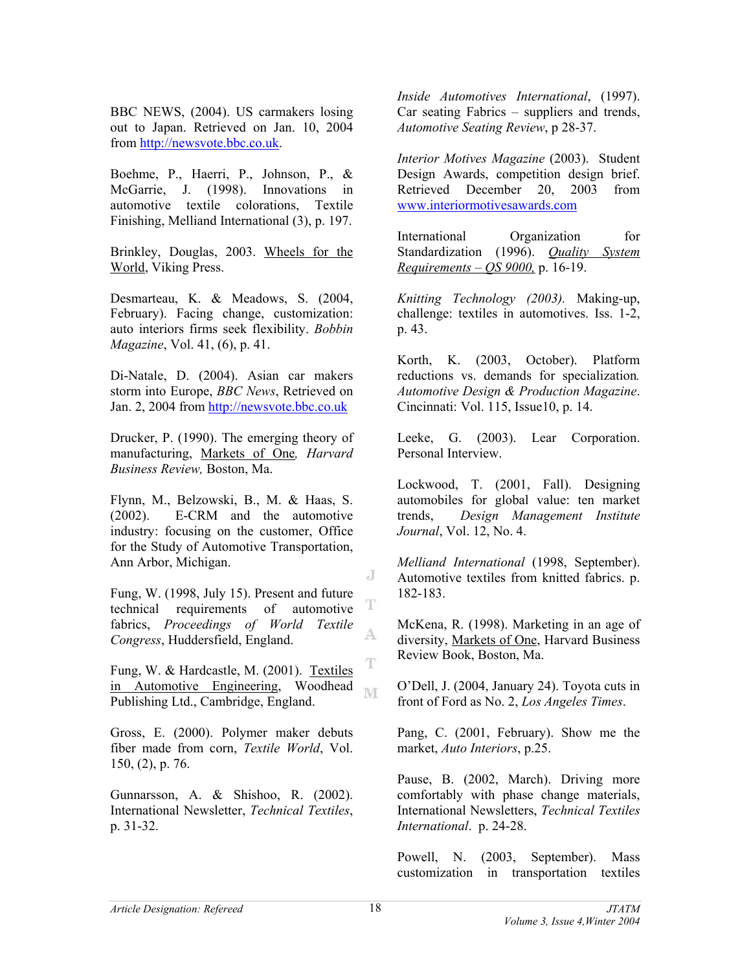BBC NEWS, (2004). US carmakers losing out to Japan. Retrieved on Jan. 10, 2004 from [http://newsvote.bbc.co.uk.](http://newsvote.bbc.co.uk)

Boehme, P., Haerri, P., Johnson, P., & McGarrie, J. (1998). Innovations in automotive textile colorations, Textile Finishing, Melliand International (3), p. 197.

Brinkley, Douglas, 2003. Wheels for the World, Viking Press.

Desmarteau, K. & Meadows, S. (2004, February). Facing change, customization: auto interiors firms seek flexibility. *Bobbin Magazine*, Vol. 41, (6), p. 41.

Di-Natale, D. (2004). Asian car makers storm into Europe, *BBC News*, Retrieved on Jan. 2, 2004 from <http://newsvote.bbc.co.uk>

Drucker, P. (1990). The emerging theory of manufacturing, Markets of One*, Harvard Business Review,* Boston, Ma.

Flynn, M., Belzowski, B., M. & Haas, S. (2002). E-CRM and the automotive industry: focusing on the customer, Office for the Study of Automotive Transportation, Ann Arbor, Michigan.

Fung, W. (1998, July 15). Present and future technical requirements of automotive fabrics, *Proceedings of World Textile Congress*, Huddersfield, England.

Fung, W. & Hardcastle, M. (2001). Textiles in Automotive Engineering, Woodhead Publishing Ltd., Cambridge, England.

Gross, E. (2000). Polymer maker debuts fiber made from corn, *Textile World*, Vol. 150, (2), p. 76.

Gunnarsson, A. & Shishoo, R. (2002). International Newsletter, *Technical Textiles*, p. 31-32.

*Inside Automotives International*, (1997). Car seating Fabrics – suppliers and trends, *Automotive Seating Review*, p 28-37.

*Interior Motives Magazine* (2003). Student Design Awards, competition design brief. Retrieved December 20, 2003 from www.interiormotivesawards.com

International Organization for Standardization (1996). *Quality System Requirements – QS 9000,* p. 16-19.

*Knitting Technology (2003).* Making-up, challenge: textiles in automotives. Iss. 1-2, p. 43.

Korth, K. (2003, October). Platform reductions vs. demands for specialization*. Automotive Design & Production Magazine*. Cincinnati: Vol. 115, Issue10, p. 14.

Leeke, G. (2003). Lear Corporation. Personal Interview.

Lockwood, T. (2001, Fall). Designing automobiles for global value: ten market trends, *Design Management Institute Journal*, Vol. 12, No. 4.

*Melliand International* (1998, September). Automotive textiles from knitted fabrics. p. 182-183.

McKena, R. (1998). Marketing in an age of diversity, Markets of One, Harvard Business Review Book, Boston, Ma.

O'Dell, J. (2004, January 24). Toyota cuts in front of Ford as No. 2, *Los Angeles Times*.

Pang, C. (2001, February). Show me the market, *Auto Interiors*, p.25.

Pause, B. (2002, March). Driving more comfortably with phase change materials, International Newsletters, *Technical Textiles International*. p. 24-28.

Powell, N. (2003, September). Mass customization in transportation textiles

J

T

A.

T

M